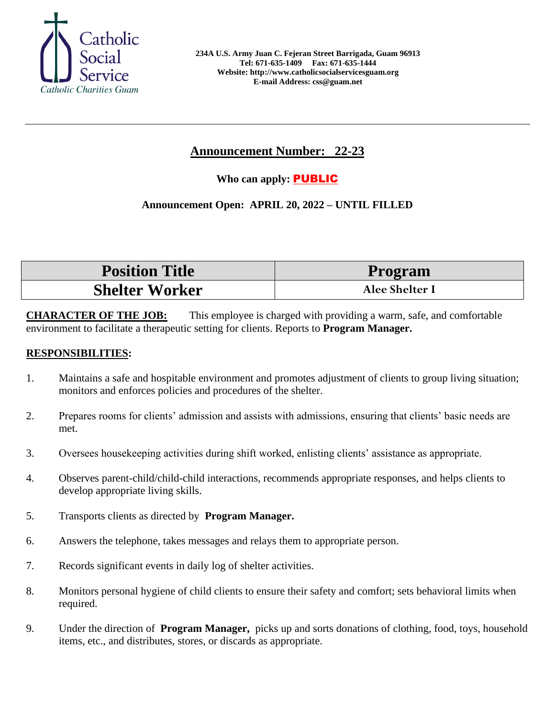

# **Announcement Number: 22-23**

## **Who can apply:** PUBLIC

## **Announcement Open: APRIL 20, 2022 – UNTIL FILLED**

| <b>Position Title</b> | Program        |
|-----------------------|----------------|
| <b>Shelter Worker</b> | Alee Shelter I |

**CHARACTER OF THE JOB:** This employee is charged with providing a warm, safe, and comfortable environment to facilitate a therapeutic setting for clients. Reports to **Program Manager.**

### **RESPONSIBILITIES:**

- 1. Maintains a safe and hospitable environment and promotes adjustment of clients to group living situation; monitors and enforces policies and procedures of the shelter.
- 2. Prepares rooms for clients' admission and assists with admissions, ensuring that clients' basic needs are met.
- 3. Oversees housekeeping activities during shift worked, enlisting clients' assistance as appropriate.
- 4. Observes parent-child/child-child interactions, recommends appropriate responses, and helps clients to develop appropriate living skills.
- 5. Transports clients as directed by **Program Manager.**
- 6. Answers the telephone, takes messages and relays them to appropriate person.
- 7. Records significant events in daily log of shelter activities.
- 8. Monitors personal hygiene of child clients to ensure their safety and comfort; sets behavioral limits when required.
- 9. Under the direction of **Program Manager,** picks up and sorts donations of clothing, food, toys, household items, etc., and distributes, stores, or discards as appropriate.